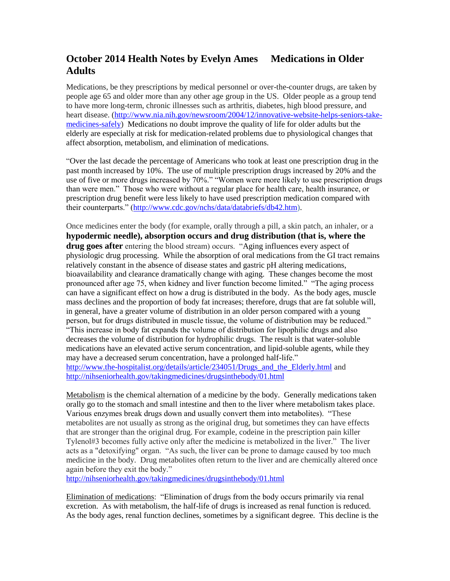## **October 2014 Health Notes by Evelyn Ames Medications in Older Adults**

Medications, be they prescriptions by medical personnel or over-the-counter drugs, are taken by people age 65 and older more than any other age group in the US. Older people as a group tend to have more long-term, chronic illnesses such as arthritis, diabetes, high blood pressure, and heart disease. [\(http://www.nia.nih.gov/newsroom/2004/12/innovative-website-helps-seniors-take](http://www.nia.nih.gov/newsroom/2004/12/innovative-website-helps-seniors-take-medicines-safely)[medicines-safely\)](http://www.nia.nih.gov/newsroom/2004/12/innovative-website-helps-seniors-take-medicines-safely) Medications no doubt improve the quality of life for older adults but the elderly are especially at risk for medication-related problems due to physiological changes that affect absorption, metabolism, and elimination of medications.

"Over the last decade the percentage of Americans who took at least one prescription drug in the past month increased by 10%. The use of multiple prescription drugs increased by 20% and the use of five or more drugs increased by 70%." "Women were more likely to use prescription drugs than were men." Those who were without a regular place for health care, health insurance, or prescription drug benefit were less likely to have used prescription medication compared with their counterparts." [\(http://www.cdc.gov/nchs/data/databriefs/db42.htm\)](http://www.cdc.gov/nchs/data/databriefs/db42.htm).

Once medicines enter the body (for example, orally through a pill, a skin patch, an inhaler, or a **hypodermic needle), absorption occurs and drug distribution (that is, where the drug goes after** entering the blood stream) occurs. "Aging influences every aspect of physiologic drug processing. While the absorption of oral medications from the GI tract remains relatively constant in the absence of disease states and gastric pH altering medications, bioavailability and clearance dramatically change with aging. These changes become the most pronounced after age 75, when kidney and liver function become limited." "The aging process can have a significant effect on how a drug is distributed in the body. As the body ages, muscle mass declines and the proportion of body fat increases; therefore, drugs that are fat soluble will, in general, have a greater volume of distribution in an older person compared with a young person, but for drugs distributed in muscle tissue, the volume of distribution may be reduced." "This increase in body fat expands the volume of distribution for lipophilic drugs and also decreases the volume of distribution for hydrophilic drugs. The result is that water-soluble medications have an elevated active serum concentration, and lipid-soluble agents, while they may have a decreased serum concentration, have a prolonged half-life." [http://www.the-hospitalist.org/details/article/234051/Drugs\\_and\\_the\\_Elderly.html](http://www.the-hospitalist.org/details/article/234051/Drugs_and_the_Elderly.html) and <http://nihseniorhealth.gov/takingmedicines/drugsinthebody/01.html>

Metabolism is the chemical alternation of a medicine by the body. Generally medications taken orally go to the stomach and small intestine and then to the liver where metabolism takes place. Various enzymes break drugs down and usually convert them into metabolites). "These metabolites are not usually as strong as the original drug, but sometimes they can have effects that are stronger than the original drug. For example, codeine in the prescription pain killer Tylenol#3 becomes fully active only after the medicine is metabolized in the liver." The liver acts as a "detoxifying" organ. "As such, the liver can be prone to damage caused by too much medicine in the body. Drug metabolites often return to the liver and are chemically altered once again before they exit the body."

<http://nihseniorhealth.gov/takingmedicines/drugsinthebody/01.html>

Elimination of medications: "Elimination of drugs from the body occurs primarily via renal excretion. As with metabolism, the half-life of drugs is increased as renal function is reduced. As the body ages, renal function declines, sometimes by a significant degree. This decline is the